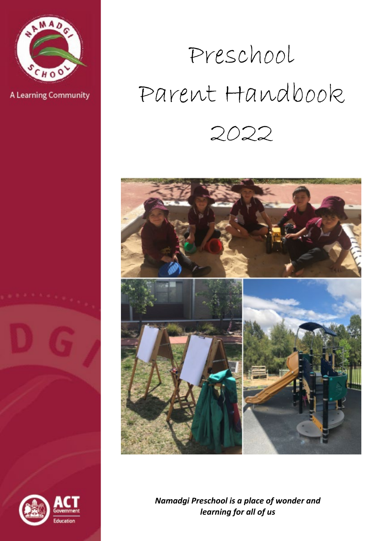

A Learning Community

# Preschool Parent Handbook 2022



*Namadgi Preschool is a place of wonder and learning for all of us*

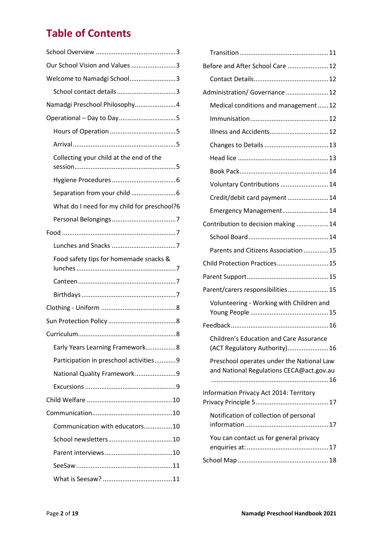## **Table of Contents**

| Our School Vision and Values 3              |
|---------------------------------------------|
| Welcome to Namadgi School3                  |
|                                             |
| Namadgi Preschool Philosophy4               |
|                                             |
|                                             |
|                                             |
| Collecting your child at the end of the     |
|                                             |
|                                             |
| What do I need for my child for preschool?6 |
|                                             |
|                                             |
|                                             |
| Food safety tips for homemade snacks &      |
|                                             |
|                                             |
|                                             |
|                                             |
| 8                                           |
| Early Years Learning Framework8             |
| Participation in preschool activities9      |
| National Quality Framework9                 |
|                                             |
|                                             |
|                                             |
| Communication with educators10              |
|                                             |
|                                             |
|                                             |
|                                             |

| Before and After School Care  12                                                      |
|---------------------------------------------------------------------------------------|
|                                                                                       |
| Administration/ Governance  12                                                        |
| Medical conditions and management12                                                   |
|                                                                                       |
| Illness and Accidents 12                                                              |
|                                                                                       |
|                                                                                       |
|                                                                                       |
| Voluntary Contributions  14                                                           |
| Credit/debit card payment  14                                                         |
| Emergency Management 14                                                               |
| Contribution to decision making  14                                                   |
|                                                                                       |
| Parents and Citizens Association  15                                                  |
| Child Protection Practices 15                                                         |
|                                                                                       |
| Parent/carers responsibilities15                                                      |
| Volunteering - Working with Children and                                              |
|                                                                                       |
|                                                                                       |
| <b>Children's Education and Care Assurance</b><br>(ACT Regulatory Authority) 16       |
| Preschool operates under the National Law<br>and National Regulations CECA@act.gov.au |
| Information Privacy Act 2014: Territory                                               |
| Notification of collection of personal                                                |
| You can contact us for general privacy                                                |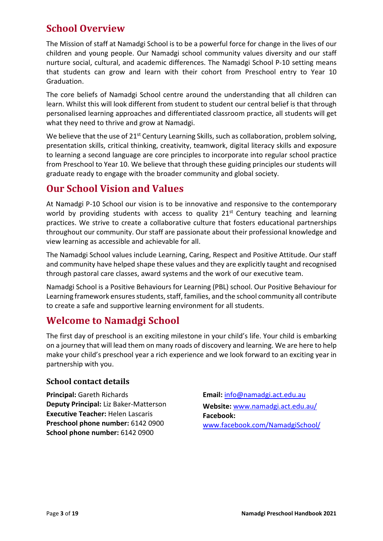## **School Overview**

<span id="page-2-0"></span>The Mission of staff at Namadgi School is to be a powerful force for change in the lives of our children and young people. Our Namadgi school community values diversity and our staff nurture social, cultural, and academic differences. The Namadgi School P-10 setting means that students can grow and learn with their cohort from Preschool entry to Year 10 Graduation.

The core beliefs of Namadgi School centre around the understanding that all children can learn. Whilst this will look different from student to student our central belief is that through personalised learning approaches and differentiated classroom practice, all students will get what they need to thrive and grow at Namadgi.

We believe that the use of 21<sup>st</sup> Century Learning Skills, such as collaboration, problem solving, presentation skills, critical thinking, creativity, teamwork, digital literacy skills and exposure to learning a second language are core principles to incorporate into regular school practice from Preschool to Year 10. We believe that through these guiding principles our students will graduate ready to engage with the broader community and global society.

## <span id="page-2-1"></span>**Our School Vision and Values**

At Namadgi P-10 School our vision is to be innovative and responsive to the contemporary world by providing students with access to quality  $21^{st}$  Century teaching and learning practices. We strive to create a collaborative culture that fosters educational partnerships throughout our community. Our staff are passionate about their professional knowledge and view learning as accessible and achievable for all.

The Namadgi School values include Learning, Caring, Respect and Positive Attitude. Our staff and community have helped shape these values and they are explicitly taught and recognised through pastoral care classes, award systems and the work of our executive team.

Namadgi School is a Positive Behaviours for Learning (PBL) school. Our Positive Behaviour for Learning framework ensures students, staff, families, and the school community all contribute to create a safe and supportive learning environment for all students.

## <span id="page-2-2"></span>**Welcome to Namadgi School**

The first day of preschool is an exciting milestone in your child's life. Your child is embarking on a journey that will lead them on many roads of discovery and learning. We are here to help make your child's preschool year a rich experience and we look forward to an exciting year in partnership with you.

### <span id="page-2-3"></span>**School contact details**

**Principal:** Gareth Richards **Deputy Principal:** Liz Baker-Matterson **Executive Teacher:** Helen Lascaris **Preschool phone number:** 6142 0900 **School phone number:** 6142 0900

**Email:** [info@namadgi.act.edu.au](mailto:info@namadgi.act.edu.au) **Website:** [www.namadgi.act.edu.au/](http://www.namadgi.act.edu.au/) **[Facebook:](https://www.facebook.com/NamadgiSchool/)**  [www.facebook.com/NamadgiSchool/](http://www.facebook.com/NamadgiSchool/)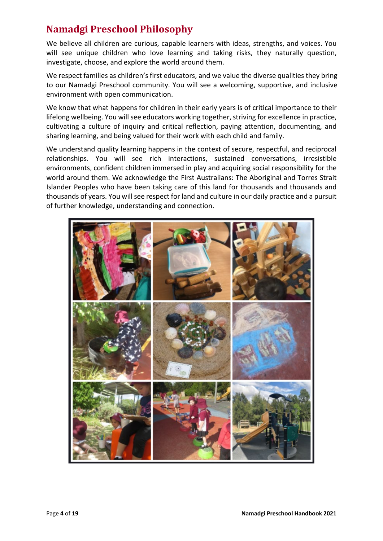## <span id="page-3-0"></span>**Namadgi Preschool Philosophy**

We believe all children are curious, capable learners with ideas, strengths, and voices. You will see unique children who love learning and taking risks, they naturally question, investigate, choose, and explore the world around them.

We respect families as children's first educators, and we value the diverse qualities they bring to our Namadgi Preschool community. You will see a welcoming, supportive, and inclusive environment with open communication.

We know that what happens for children in their early years is of critical importance to their lifelong wellbeing. You will see educators working together, striving for excellence in practice, cultivating a culture of inquiry and critical reflection, paying attention, documenting, and sharing learning, and being valued for their work with each child and family.

We understand quality learning happens in the context of secure, respectful, and reciprocal relationships. You will see rich interactions, sustained conversations, irresistible environments, confident children immersed in play and acquiring social responsibility for the world around them. We acknowledge the First Australians: The Aboriginal and Torres Strait Islander Peoples who have been taking care of this land for thousands and thousands and thousands of years. You will see respect for land and culture in our daily practice and a pursuit of further knowledge, understanding and connection.

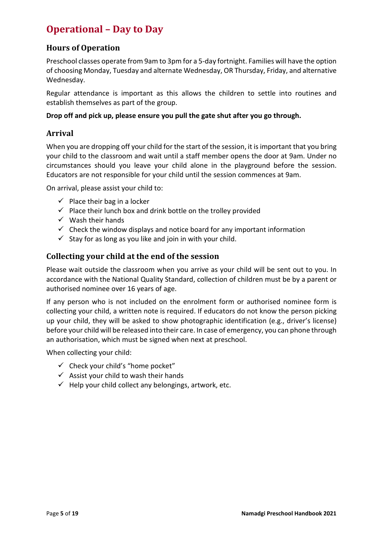## <span id="page-4-0"></span>**Operational – Day to Day**

## <span id="page-4-1"></span>**Hours of Operation**

Preschool classes operate from 9am to 3pm for a 5-day fortnight. Families will have the option of choosing Monday, Tuesday and alternate Wednesday, OR Thursday, Friday, and alternative Wednesday.

Regular attendance is important as this allows the children to settle into routines and establish themselves as part of the group.

#### **Drop off and pick up, please ensure you pull the gate shut after you go through.**

#### <span id="page-4-2"></span>**Arrival**

When you are dropping off your child for the start of the session, it is important that you bring your child to the classroom and wait until a staff member opens the door at 9am. Under no circumstances should you leave your child alone in the playground before the session. Educators are not responsible for your child until the session commences at 9am.

On arrival, please assist your child to:

- $\checkmark$  Place their bag in a locker
- $\checkmark$  Place their lunch box and drink bottle on the trolley provided
- $\checkmark$  Wash their hands
- $\checkmark$  Check the window displays and notice board for any important information
- $\checkmark$  Stay for as long as you like and join in with your child.

#### <span id="page-4-3"></span>**Collecting your child at the end of the session**

Please wait outside the classroom when you arrive as your child will be sent out to you. In accordance with the National Quality Standard, collection of children must be by a parent or authorised nominee over 16 years of age.

If any person who is not included on the enrolment form or authorised nominee form is collecting your child, a written note is required. If educators do not know the person picking up your child, they will be asked to show photographic identification (e.g., driver's license) before your child will be released into their care. In case of emergency, you can phone through an authorisation, which must be signed when next at preschool.

When collecting your child:

- $\checkmark$  Check your child's "home pocket"
- $\checkmark$  Assist your child to wash their hands
- $\checkmark$  Help your child collect any belongings, artwork, etc.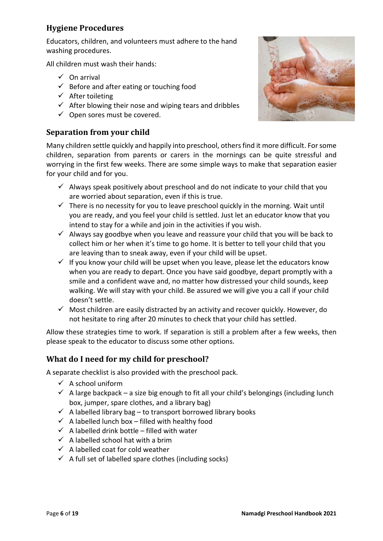## <span id="page-5-0"></span>**Hygiene Procedures**

Educators, children, and volunteers must adhere to the hand washing procedures.

All children must wash their hands:

- $\checkmark$  On arrival
- $\checkmark$  Before and after eating or touching food
- $\checkmark$  After toileting
- $\checkmark$  After blowing their nose and wiping tears and dribbles
- $\checkmark$  Open sores must be covered.

## <span id="page-5-1"></span>**Separation from your child**

Many children settle quickly and happily into preschool, others find it more difficult. For some children, separation from parents or carers in the mornings can be quite stressful and worrying in the first few weeks. There are some simple ways to make that separation easier for your child and for you.

- $\checkmark$  Always speak positively about preschool and do not indicate to your child that you are worried about separation, even if this is true.
- $\checkmark$  There is no necessity for you to leave preschool quickly in the morning. Wait until you are ready, and you feel your child is settled. Just let an educator know that you intend to stay for a while and join in the activities if you wish.
- $\checkmark$  Always say goodbye when you leave and reassure your child that you will be back to collect him or her when it's time to go home. It is better to tell your child that you are leaving than to sneak away, even if your child will be upset.
- $\checkmark$  If you know your child will be upset when you leave, please let the educators know when you are ready to depart. Once you have said goodbye, depart promptly with a smile and a confident wave and, no matter how distressed your child sounds, keep walking. We will stay with your child. Be assured we will give you a call if your child doesn't settle.
- $\checkmark$  Most children are easily distracted by an activity and recover quickly. However, do not hesitate to ring after 20 minutes to check that your child has settled.

Allow these strategies time to work. If separation is still a problem after a few weeks, then please speak to the educator to discuss some other options.

## <span id="page-5-2"></span>**What do I need for my child for preschool?**

A separate checklist is also provided with the preschool pack.

- $\checkmark$  A school uniform
- $\checkmark$  A large backpack a size big enough to fit all your child's belongings (including lunch box, jumper, spare clothes, and a library bag)
- $\checkmark$  A labelled library bag to transport borrowed library books
- $\checkmark$  A labelled lunch box filled with healthy food
- $\checkmark$  A labelled drink bottle filled with water
- $\checkmark$  A labelled school hat with a brim
- $\checkmark$  A labelled coat for cold weather
- $\checkmark$  A full set of labelled spare clothes (including socks)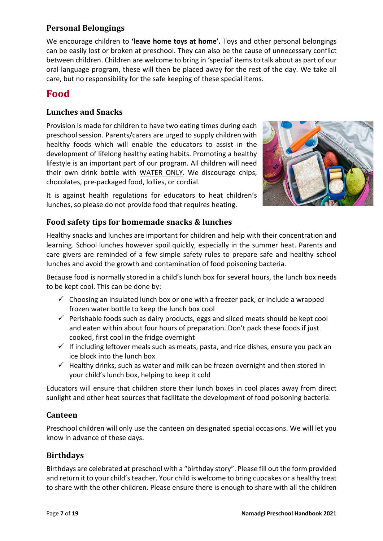## <span id="page-6-0"></span>**Personal Belongings**

We encourage children to **'leave home toys at home'.** Toys and other personal belongings can be easily lost or broken at preschool. They can also be the cause of unnecessary conflict between children. Children are welcome to bring in 'special' itemsto talk about as part of our oral language program, these will then be placed away for the rest of the day. We take all care, but no responsibility for the safe keeping of these special items.

## <span id="page-6-1"></span>**Food**

## <span id="page-6-2"></span>**Lunches and Snacks**

Provision is made for children to have two eating times during each preschool session. Parents/carers are urged to supply children with healthy foods which will enable the educators to assist in the development of lifelong healthy eating habits. Promoting a healthy lifestyle is an important part of our program. All children will need their own drink bottle with WATER ONLY. We discourage chips, chocolates, pre-packaged food, lollies, or cordial.



It is against health regulations for educators to heat children's lunches, so please do not provide food that requires heating.

## <span id="page-6-3"></span>**Food safety tips for homemade snacks & lunches**

Healthy snacks and lunches are important for children and help with their concentration and learning. School lunches however spoil quickly, especially in the summer heat. Parents and care givers are reminded of a few simple safety rules to prepare safe and healthy school lunches and avoid the growth and contamination of food poisoning bacteria.

Because food is normally stored in a child's lunch box for several hours, the lunch box needs to be kept cool. This can be done by:

- $\checkmark$  Choosing an insulated lunch box or one with a freezer pack, or include a wrapped frozen water bottle to keep the lunch box cool
- $\checkmark$  Perishable foods such as dairy products, eggs and sliced meats should be kept cool and eaten within about four hours of preparation. Don't pack these foods if just cooked, first cool in the fridge overnight
- $\checkmark$  If including leftover meals such as meats, pasta, and rice dishes, ensure you pack an ice block into the lunch box
- $\checkmark$  Healthy drinks, such as water and milk can be frozen overnight and then stored in your child's lunch box, helping to keep it cold

Educators will ensure that children store their lunch boxes in cool places away from direct sunlight and other heat sources that facilitate the development of food poisoning bacteria.

### <span id="page-6-4"></span>**Canteen**

Preschool children will only use the canteen on designated special occasions. We will let you know in advance of these days.

## <span id="page-6-5"></span>**Birthdays**

Birthdays are celebrated at preschool with a "birthday story". Please fill out the form provided and return it to your child's teacher. Your child is welcome to bring cupcakes or a healthy treat to share with the other children. Please ensure there is enough to share with all the children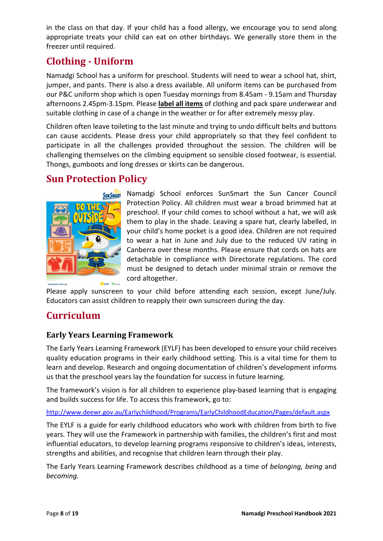in the class on that day. If your child has a food allergy, we encourage you to send along appropriate treats your child can eat on other birthdays. We generally store them in the freezer until required.

## <span id="page-7-0"></span>**Clothing - Uniform**

Namadgi School has a uniform for preschool. Students will need to wear a school hat, shirt, jumper, and pants. There is also a dress available. All uniform items can be purchased from our P&C uniform shop which is open Tuesday mornings from 8.45am - 9.15am and Thursday afternoons 2.45pm-3.15pm. Please **label all items** of clothing and pack spare underwear and suitable clothing in case of a change in the weather or for after extremely messy play.

Children often leave toileting to the last minute and trying to undo difficult belts and buttons can cause accidents. Please dress your child appropriately so that they feel confident to participate in all the challenges provided throughout the session. The children will be challenging themselves on the climbing equipment so sensible closed footwear, is essential. Thongs, gumboots and long dresses or skirts can be dangerous.

## <span id="page-7-1"></span>**Sun Protection Policy**



Namadgi School enforces SunSmart the Sun Cancer Council Protection Policy. All children must wear a broad brimmed hat at preschool. If your child comes to school without a hat, we will ask them to play in the shade. Leaving a spare hat, clearly labelled, in your child's home pocket is a good idea. Children are not required to wear a hat in June and July due to the reduced UV rating in Canberra over these months. Please ensure that cords on hats are detachable in compliance with Directorate regulations. The cord must be designed to detach under minimal strain or remove the cord altogether.

Please apply sunscreen to your child before attending each session, except June/July. Educators can assist children to reapply their own sunscreen during the day.

## <span id="page-7-2"></span>**Curriculum**

## <span id="page-7-3"></span>**Early Years Learning Framework**

The Early Years Learning Framework (EYLF) has been developed to ensure your child receives quality education programs in their early childhood setting. This is a vital time for them to learn and develop. Research and ongoing documentation of children's development informs us that the preschool years lay the foundation for success in future learning.

The framework's vision is for all children to experience play-based learning that is engaging and builds success for life. To access this framework, go to:

<http://www.deewr.gov.au/Earlychildhood/Programs/EarlyChildhoodEducation/Pages/default.aspx>

The EYLF is a guide for early childhood educators who work with children from birth to five years. They will use the Framework in partnership with families, the children's first and most influential educators, to develop learning programs responsive to children's ideas, interests, strengths and abilities, and recognise that children learn through their play.

The Early Years Learning Framework describes childhood as a time of *belonging, being* and *becoming*.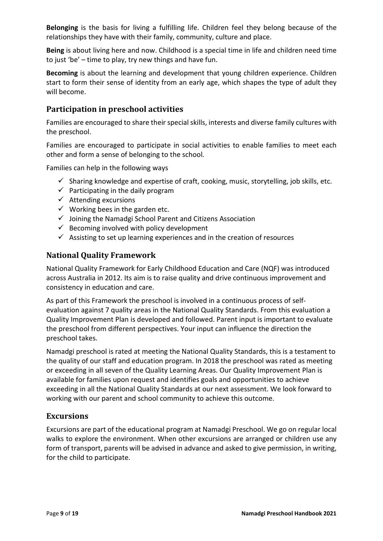**Belonging** is the basis for living a fulfilling life. Children feel they belong because of the relationships they have with their family, community, culture and place.

**Being** is about living here and now. Childhood is a special time in life and children need time to just 'be' – time to play, try new things and have fun.

**Becoming** is about the learning and development that young children experience. Children start to form their sense of identity from an early age, which shapes the type of adult they will become.

## <span id="page-8-0"></span>**Participation in preschool activities**

Families are encouraged to share their special skills, interests and diverse family cultures with the preschool.

Families are encouraged to participate in social activities to enable families to meet each other and form a sense of belonging to the school.

Families can help in the following ways

- $\checkmark$  Sharing knowledge and expertise of craft, cooking, music, storytelling, job skills, etc.
- $\checkmark$  Participating in the daily program
- $\checkmark$  Attending excursions
- $\checkmark$  Working bees in the garden etc.
- $\checkmark$  Joining the Namadgi School Parent and Citizens Association
- $\checkmark$  Becoming involved with policy development
- $\checkmark$  Assisting to set up learning experiences and in the creation of resources

## <span id="page-8-1"></span>**National Quality Framework**

National Quality Framework for Early Childhood Education and Care (NQF) was introduced across Australia in 2012. Its aim is to raise quality and drive continuous improvement and consistency in education and care.

As part of this Framework the preschool is involved in a continuous process of selfevaluation against 7 quality areas in the National Quality Standards. From this evaluation a Quality Improvement Plan is developed and followed. Parent input is important to evaluate the preschool from different perspectives. Your input can influence the direction the preschool takes.

Namadgi preschool is rated at meeting the National Quality Standards, this is a testament to the quality of our staff and education program. In 2018 the preschool was rated as meeting or exceeding in all seven of the Quality Learning Areas. Our Quality Improvement Plan is available for families upon request and identifies goals and opportunities to achieve exceeding in all the National Quality Standards at our next assessment. We look forward to working with our parent and school community to achieve this outcome.

### <span id="page-8-2"></span>**Excursions**

Excursions are part of the educational program at Namadgi Preschool. We go on regular local walks to explore the environment. When other excursions are arranged or children use any form of transport, parents will be advised in advance and asked to give permission, in writing, for the child to participate.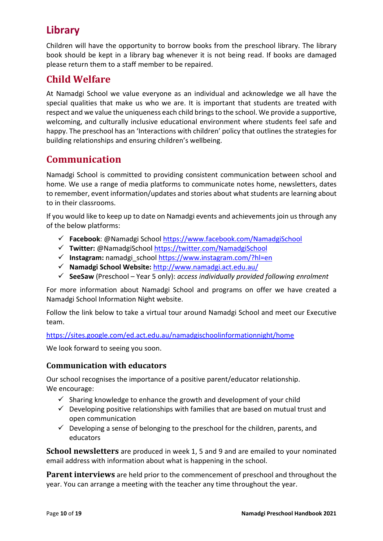## **Library**

Children will have the opportunity to borrow books from the preschool library. The library book should be kept in a library bag whenever it is not being read. If books are damaged please return them to a staff member to be repaired.

## <span id="page-9-0"></span>**Child Welfare**

At Namadgi School we value everyone as an individual and acknowledge we all have the special qualities that make us who we are. It is important that students are treated with respect and we value the uniqueness each child brings to the school. We provide a supportive, welcoming, and culturally inclusive educational environment where students feel safe and happy. The preschool has an 'Interactions with children' policy that outlines the strategies for building relationships and ensuring children's wellbeing.

## <span id="page-9-1"></span>**Communication**

Namadgi School is committed to providing consistent communication between school and home. We use a range of media platforms to communicate notes home, newsletters, dates to remember, event information/updates and stories about what students are learning about to in their classrooms.

If you would like to keep up to date on Namadgi events and achievements join us through any of the below platforms:

- **Facebook**: @Namadgi School<https://www.facebook.com/NamadgiSchool>
- **Twitter:** @NamadgiSchool<https://twitter.com/NamadgiSchool>
- **Instagram:** namadgi\_school<https://www.instagram.com/?hl=en>
- **Namadgi School Website:** <http://www.namadgi.act.edu.au/>
- **SeeSaw** (Preschool Year 5 only): *access individually provided following enrolment*

For more information about Namadgi School and programs on offer we have created a Namadgi School Information Night website.

Follow the link below to take a virtual tour around Namadgi School and meet our Executive team.

<https://sites.google.com/ed.act.edu.au/namadgischoolinformationnight/home>

We look forward to seeing you soon.

### <span id="page-9-2"></span>**Communication with educators**

Our school recognises the importance of a positive parent/educator relationship. We encourage:

- $\checkmark$  Sharing knowledge to enhance the growth and development of your child
- $\checkmark$  Developing positive relationships with families that are based on mutual trust and open communication
- $\checkmark$  Developing a sense of belonging to the preschool for the children, parents, and educators

<span id="page-9-3"></span>**School newsletters** are produced in week 1, 5 and 9 and are emailed to your nominated email address with information about what is happening in the school.

<span id="page-9-4"></span>**Parent interviews** are held prior to the commencement of preschool and throughout the year. You can arrange a meeting with the teacher any time throughout the year.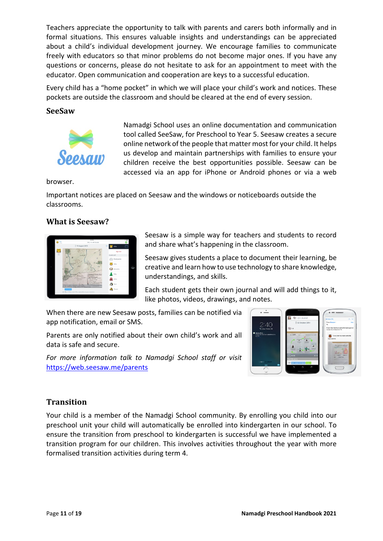Teachers appreciate the opportunity to talk with parents and carers both informally and in formal situations. This ensures valuable insights and understandings can be appreciated about a child's individual development journey. We encourage families to communicate freely with educators so that minor problems do not become major ones. If you have any questions or concerns, please do not hesitate to ask for an appointment to meet with the educator. Open communication and cooperation are keys to a successful education.

Every child has a "home pocket" in which we will place your child's work and notices. These pockets are outside the classroom and should be cleared at the end of every session.

#### <span id="page-10-0"></span>**SeeSaw**



Namadgi School uses an online documentation and communication tool called SeeSaw, for Preschool to Year 5. Seesaw creates a secure online network of the people that matter most for your child. It helps us develop and maintain partnerships with families to ensure your children receive the best opportunities possible. Seesaw can be accessed via an app for iPhone or Android phones or via a web

browser.

Important notices are placed on Seesaw and the windows or noticeboards outside the classrooms.

#### <span id="page-10-1"></span>**What is Seesaw?**

| lsd 9<br>After<br>翮<br>Your | 4 05 PM<br>Mrs. V's 4th Grade                                                                                            |   |                     | <b>DISK</b> |
|-----------------------------|--------------------------------------------------------------------------------------------------------------------------|---|---------------------|-------------|
|                             | 19 August 2015                                                                                                           | 国 | Allio               |             |
| J.                          |                                                                                                                          |   | Sign Out            |             |
| All a                       | <b>Harling</b>                                                                                                           |   | <b>CLASS LIST</b>   |             |
|                             | À                                                                                                                        |   | <b>SSR</b> Everyone |             |
|                             | 10<br>Mona Kas Porsche<br><b>Wednes</b><br>Winds<br>r.<br>×.                                                             |   | <b>Allie</b>        |             |
|                             | 42x<br>A1                                                                                                                |   | <b>Cal</b> Amanda   | D           |
|                             | Constitut State Max<br>Bellyspigh<br>Atlantic<br><b>Reacted</b><br>Section takes<br>+ Media                              |   | Bily                |             |
|                             | Com<br>$\sim$<br>· major cities<br>56                                                                                    |   | John                |             |
|                             | X mercentains<br>O Sack Le Robi voms Ven<br>O Fometel la cartian<br>Cartification and hosten<br>ma e<br><b>Clean May</b> |   | Sam                 |             |
|                             | iodal Studie                                                                                                             |   | Trevor              |             |
|                             | @ Mrs. V Nice work Alle, especially on your narration.                                                                   |   |                     |             |
|                             |                                                                                                                          |   |                     |             |

Seesaw is a simple way for teachers and students to record and share what's happening in the classroom.

Seesaw gives students a place to document their learning, be creative and learn how to use technology to share knowledge, understandings, and skills.

Each student gets their own journal and will add things to it, like photos, videos, drawings, and notes.

When there are new Seesaw posts, families can be notified via app notification, email or SMS.

Parents are only notified about their own child's work and all data is safe and secure.

*For more information talk to Namadgi School staff or visit* <https://web.seesaw.me/parents>



### <span id="page-10-2"></span>**Transition**

Your child is a member of the Namadgi School community. By enrolling you child into our preschool unit your child will automatically be enrolled into kindergarten in our school. To ensure the transition from preschool to kindergarten is successful we have implemented a transition program for our children. This involves activities throughout the year with more formalised transition activities during term 4.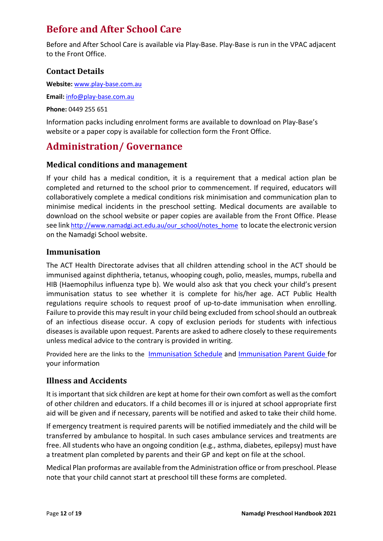## <span id="page-11-0"></span>**Before and After School Care**

Before and After School Care is available via Play-Base. Play-Base is run in the VPAC adjacent to the Front Office.

## <span id="page-11-1"></span>**Contact Details**

**Website:** [www.play-base.com.au](http://www.play-base.com.au/)

**Email:** [info@play-base.com.au](mailto:info@play-base.com.au)

**Phone:** 0449 255 651

Information packs including enrolment forms are available to download on Play-Base's website or a paper copy is available for collection form the Front Office.

## <span id="page-11-2"></span>**Administration/ Governance**

### <span id="page-11-3"></span>**Medical conditions and management**

If your child has a medical condition, it is a requirement that a medical action plan be completed and returned to the school prior to commencement. If required, educators will collaboratively complete a medical conditions risk minimisation and communication plan to minimise medical incidents in the preschool setting. Medical documents are available to download on the school website or paper copies are available from the Front Office. Please see lin[k http://www.namadgi.act.edu.au/our\\_school/notes\\_home](http://www.namadgi.act.edu.au/our_school/notes_home)\_to locate the electronic version on the Namadgi School website.

### <span id="page-11-4"></span>**Immunisation**

The ACT Health Directorate advises that all children attending school in the ACT should be immunised against diphtheria, tetanus, whooping cough, polio, measles, mumps, rubella and HIB (Haemophilus influenza type b). We would also ask that you check your child's present immunisation status to see whether it is complete for his/her age. ACT Public Health regulations require schools to request proof of up-to-date immunisation when enrolling. Failure to provide this may result in your child being excluded from school should an outbreak of an infectious disease occur. A copy of exclusion periods for students with infectious diseases is available upon request. Parents are asked to adhere closely to these requirements unless medical advice to the contrary is provided in writing.

Provided here are the links to the [Immunisation Schedule](https://www.health.act.gov.au/sites/default/files/2020-06/Immunisation%20-%20schedule.pdf) and [Immunisation Parent Guide](https://www.health.act.gov.au/sites/default/files/2020-06/Immunisation%20Requirements%20for%20entry%20to%20school%20preschool%20and%20child%20care_Parents%20guide_2ndEd.pdf) for your information

## <span id="page-11-5"></span>**Illness and Accidents**

It is important that sick children are kept at home for their own comfort as well as the comfort of other children and educators. If a child becomes ill or is injured at school appropriate first aid will be given and if necessary, parents will be notified and asked to take their child home.

If emergency treatment is required parents will be notified immediately and the child will be transferred by ambulance to hospital. In such cases ambulance services and treatments are free. All students who have an ongoing condition (e.g., asthma, diabetes, epilepsy) must have a treatment plan completed by parents and their GP and kept on file at the school.

Medical Plan proformas are available from the Administration office or from preschool. Please note that your child cannot start at preschool till these forms are completed.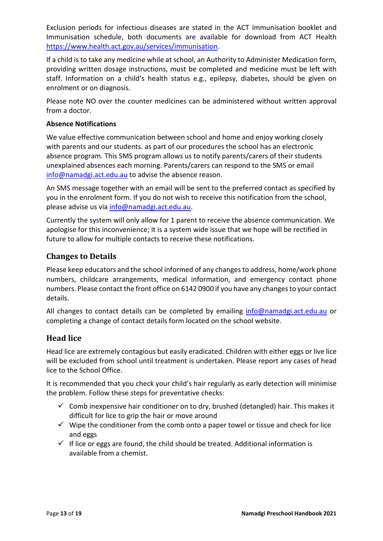Exclusion periods for infectious diseases are stated in the ACT Immunisation booklet and Immunisation schedule, both documents are available for download from ACT Health [https://www.health.act.gov.au/services/immunisation.](https://www.health.act.gov.au/services/immunisation)

If a child is to take any medicine while at school, an Authority to Administer Medication form, providing written dosage instructions, must be completed and medicine must be left with staff. Information on a child's health status e.g., epilepsy, diabetes, should be given on enrolment or on diagnosis.

Please note NO over the counter medicines can be administered without written approval from a doctor.

#### **Absence Notifications**

We value effective communication between school and home and enjoy working closely with parents and our students. as part of our procedures the school has an electronic absence program. This SMS program allows us to notify parents/carers of their students unexplained absences each morning. Parents/carers can respond to the SMS or email [info@namadgi.act.edu.au](mailto:info@namadgi.act.edu.au) to advise the absence reason.

An SMS message together with an email will be sent to the preferred contact as specified by you in the enrolment form. If you do not wish to receive this notification from the school, please advise us via [info@namadgi.act.edu.au.](mailto:info@namadgi.act.edu.au)

Currently the system will only allow for 1 parent to receive the absence communication. We apologise for this inconvenience; it is a system wide issue that we hope will be rectified in future to allow for multiple contacts to receive these notifications.

#### <span id="page-12-0"></span>**Changes to Details**

Please keep educators and the school informed of any changes to address, home/work phone numbers, childcare arrangements, medical information, and emergency contact phone numbers. Please contact the front office on 6142 0900 if you have any changes to your contact details.

All changes to contact details can be completed by emailing [info@namadgi.act.edu.au](mailto:info@namadgi.act.edu.au) or completing a change of contact details form located on the school website.

### <span id="page-12-1"></span>**Head lice**

Head lice are extremely contagious but easily eradicated. Children with either eggs or live lice will be excluded from school until treatment is undertaken. Please report any cases of head lice to the School Office.

It is recommended that you check your child's hair regularly as early detection will minimise the problem. Follow these steps for preventative checks:

- $\checkmark$  Comb inexpensive hair conditioner on to dry, brushed (detangled) hair. This makes it difficult for lice to grip the hair or move around
- $\checkmark$  Wipe the conditioner from the comb onto a paper towel or tissue and check for lice and eggs
- $\checkmark$  If lice or eggs are found, the child should be treated. Additional information is available from a chemist.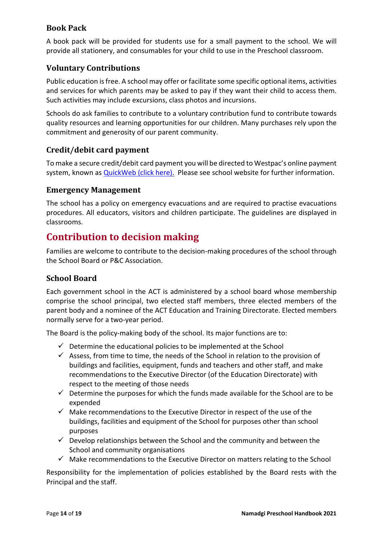## <span id="page-13-0"></span>**Book Pack**

A book pack will be provided for students use for a small payment to the school. We will provide all stationery, and consumables for your child to use in the Preschool classroom.

## <span id="page-13-1"></span>**Voluntary Contributions**

Public education is free. A school may offer or facilitate some specific optional items, activities and services for which parents may be asked to pay if they want their child to access them. Such activities may include excursions, class photos and incursions.

Schools do ask families to contribute to a voluntary contribution fund to contribute towards quality resources and learning opportunities for our children. Many purchases rely upon the commitment and generosity of our parent community.

### <span id="page-13-2"></span>**Credit/debit card payment**

To make a secure credit/debit card payment you will be directed to Westpac's online payment system, known as [QuickWeb \(click here\).](https://quickweb.westpac.com.au/OnlinePaymentServlet?cd_community=ACTGSC&cd_supplier_business=24360919&cd_currency=AUD&returnURL=http://www.namadgi.act.edu.au/payment&serviceReturnURL=http://www.namadgi.act.edu.au/payment&cancelURL=http://www.namadgi.act.edu.au/payment&errorURL=http://www.namadgi.act.edu.au/payment&schoolName=NAMADGI%20SCHOOL&schoolMotto=A%20learning%20Community) Please see school website for further information.

#### <span id="page-13-3"></span>**Emergency Management**

The school has a policy on emergency evacuations and are required to practise evacuations procedures. All educators, visitors and children participate. The guidelines are displayed in classrooms.

## <span id="page-13-4"></span>**Contribution to decision making**

Families are welcome to contribute to the decision-making procedures of the school through the School Board or P&C Association.

### <span id="page-13-5"></span>**School Board**

Each government school in the ACT is administered by a school board whose membership comprise the school principal, two elected staff members, three elected members of the parent body and a nominee of the ACT Education and Training Directorate. Elected members normally serve for a two-year period.

The Board is the policy-making body of the school. Its major functions are to:

- $\checkmark$  Determine the educational policies to be implemented at the School
- $\checkmark$  Assess, from time to time, the needs of the School in relation to the provision of buildings and facilities, equipment, funds and teachers and other staff, and make recommendations to the Executive Director (of the Education Directorate) with respect to the meeting of those needs
- $\checkmark$  Determine the purposes for which the funds made available for the School are to be expended
- $\checkmark$  Make recommendations to the Executive Director in respect of the use of the buildings, facilities and equipment of the School for purposes other than school purposes
- $\checkmark$  Develop relationships between the School and the community and between the School and community organisations
- $\checkmark$  Make recommendations to the Executive Director on matters relating to the School

Responsibility for the implementation of policies established by the Board rests with the Principal and the staff.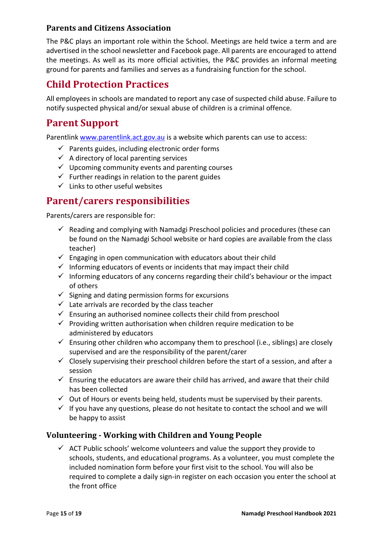## <span id="page-14-0"></span>**Parents and Citizens Association**

The P&C plays an important role within the School. Meetings are held twice a term and are advertised in the school newsletter and Facebook page. All parents are encouraged to attend the meetings. As well as its more official activities, the P&C provides an informal meeting ground for parents and families and serves as a fundraising function for the school.

## <span id="page-14-1"></span>**Child Protection Practices**

All employees in schools are mandated to report any case of suspected child abuse. Failure to notify suspected physical and/or sexual abuse of children is a criminal offence.

## <span id="page-14-2"></span>**Parent Support**

Parentlink [www.parentlink.act.gov.au](http://www.parentlink.act.gov.au/) is a website which parents can use to access:

- $\checkmark$  Parents guides, including electronic order forms
- $\checkmark$  A directory of local parenting services
- $\checkmark$  Upcoming community events and parenting courses
- $\checkmark$  Further readings in relation to the parent guides
- $\checkmark$  Links to other useful websites

## <span id="page-14-3"></span>**Parent/carers responsibilities**

Parents/carers are responsible for:

- $\checkmark$  Reading and complying with Namadgi Preschool policies and procedures (these can be found on the Namadgi School website or hard copies are available from the class teacher)
- $\checkmark$  Engaging in open communication with educators about their child
- $\checkmark$  Informing educators of events or incidents that may impact their child
- $\checkmark$  Informing educators of any concerns regarding their child's behaviour or the impact of others
- $\checkmark$  Signing and dating permission forms for excursions
- $\checkmark$  Late arrivals are recorded by the class teacher
- $\checkmark$  Ensuring an authorised nominee collects their child from preschool
- $\checkmark$  Providing written authorisation when children require medication to be administered by educators
- $\checkmark$  Ensuring other children who accompany them to preschool (i.e., siblings) are closely supervised and are the responsibility of the parent/carer
- $\checkmark$  Closely supervising their preschool children before the start of a session, and after a session
- $\checkmark$  Ensuring the educators are aware their child has arrived, and aware that their child has been collected
- $\checkmark$  Out of Hours or events being held, students must be supervised by their parents.
- $\checkmark$  If you have any questions, please do not hesitate to contact the school and we will be happy to assist

### <span id="page-14-4"></span>**Volunteering - Working with Children and Young People**

 $\checkmark$  ACT Public schools' welcome volunteers and value the support they provide to schools, students, and educational programs. As a volunteer, you must complete the included nomination form before your first visit to the school. You will also be required to complete a daily sign-in register on each occasion you enter the school at the front office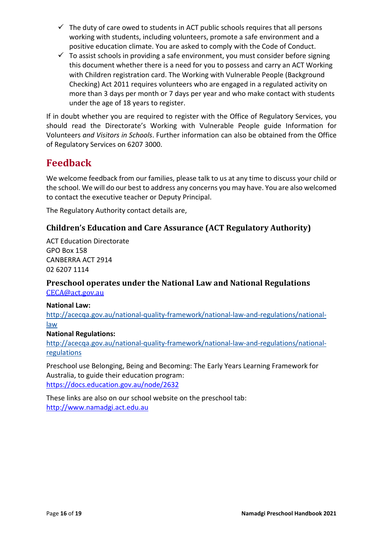- $\checkmark$  The duty of care owed to students in ACT public schools requires that all persons working with students, including volunteers, promote a safe environment and a positive education climate. You are asked to comply with the Code of Conduct.
- $\checkmark$  To assist schools in providing a safe environment, you must consider before signing this document whether there is a need for you to possess and carry an ACT Working with Children registration card. The Working with Vulnerable People (Background Checking) Act 2011 requires volunteers who are engaged in a regulated activity on more than 3 days per month or 7 days per year and who make contact with students under the age of 18 years to register.

If in doubt whether you are required to register with the Office of Regulatory Services, you should read the Directorate's Working with Vulnerable People guide Information for Volunteers *and Visitors in Schools*. Further information can also be obtained from the Office of Regulatory Services on 6207 3000.

## <span id="page-15-0"></span>**Feedback**

We welcome feedback from our families, please talk to us at any time to discuss your child or the school. We will do our best to address any concerns you may have. You are also welcomed to contact the executive teacher or Deputy Principal.

The Regulatory Authority contact details are,

## <span id="page-15-1"></span>**Children's Education and Care Assurance (ACT Regulatory Authority)**

ACT Education Directorate GPO Box 158 CANBERRA ACT 2914 02 6207 1114

#### <span id="page-15-2"></span>**Preschool operates under the National Law and National Regulations** [CECA@act.gov.au](mailto:CECA@act.gov.au)

#### **National Law:**

[http://acecqa.gov.au/national-quality-framework/national-law-and-regulations/national](http://acecqa.gov.au/national-quality-framework/national-law-and-regulations/national-law)[law](http://acecqa.gov.au/national-quality-framework/national-law-and-regulations/national-law)

#### **National Regulations:**

[http://acecqa.gov.au/national-quality-framework/national-law-and-regulations/national](http://acecqa.gov.au/national-quality-framework/national-law-and-regulations/national-regulations)[regulations](http://acecqa.gov.au/national-quality-framework/national-law-and-regulations/national-regulations)

Preschool use Belonging, Being and Becoming: The Early Years Learning Framework for Australia, to guide their education program: <https://docs.education.gov.au/node/2632>

These links are also on our school website on the preschool tab: [http://www.namadgi.act.edu.au](http://www.namadgi.act.edu.au/p-10_curriculum/preschool)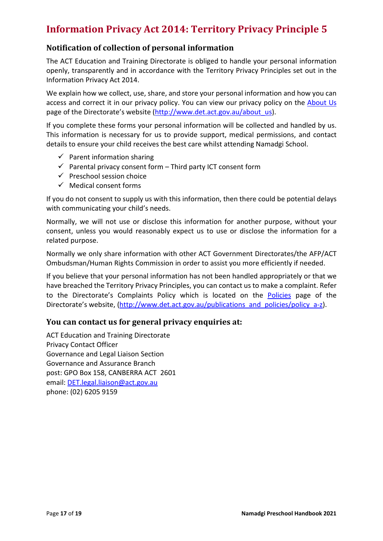## <span id="page-16-0"></span>**Information Privacy Act 2014: Territory Privacy Principle 5**

## <span id="page-16-1"></span>**Notification of collection of personal information**

The ACT Education and Training Directorate is obliged to handle your personal information openly, transparently and in accordance with the Territory Privacy Principles set out in the Information Privacy Act 2014.

We explain how we collect, use, share, and store your personal information and how you can access and correct it in our privacy policy. You can view our privacy policy on the [About Us](http://www.det.act.gov.au/about_us) page of the Directorate's website [\(http://www.det.act.gov.au/about\\_us\)](http://www.det.act.gov.au/about_us).

If you complete these forms your personal information will be collected and handled by us. This information is necessary for us to provide support, medical permissions, and contact details to ensure your child receives the best care whilst attending Namadgi School.

- $\checkmark$  Parent information sharing
- $\checkmark$  Parental privacy consent form Third party ICT consent form
- $\checkmark$  Preschool session choice
- $\checkmark$  Medical consent forms

If you do not consent to supply us with this information, then there could be potential delays with communicating your child's needs.

Normally, we will not use or disclose this information for another purpose, without your consent, unless you would reasonably expect us to use or disclose the information for a related purpose.

Normally we only share information with other ACT Government Directorates/the AFP/ACT Ombudsman/Human Rights Commission in order to assist you more efficiently if needed.

If you believe that your personal information has not been handled appropriately or that we have breached the Territory Privacy Principles, you can contact us to make a complaint. Refer to the Directorate's Complaints Policy which is located on the [Policies](http://www.det.act.gov.au/publications_and_policies/policy_a-z) page of the Directorate's website, [\(http://www.det.act.gov.au/publications\\_and\\_policies/policy\\_a-z\)](http://www.det.act.gov.au/publications_and_policies/policy_a-z).

### <span id="page-16-2"></span>**You can contact us for general privacy enquiries at:**

ACT Education and Training Directorate Privacy Contact Officer Governance and Legal Liaison Section Governance and Assurance Branch post: GPO Box 158, CANBERRA ACT 2601 email[: DET.legal.liaison@act.gov.au](mailto:DET.legal.liaison@act.gov.au)  phone: (02) 6205 9159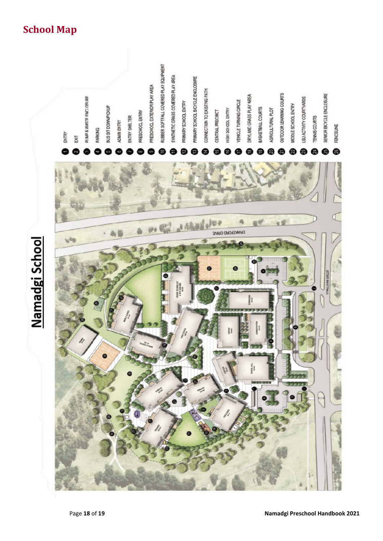## <span id="page-17-0"></span>**School Map**